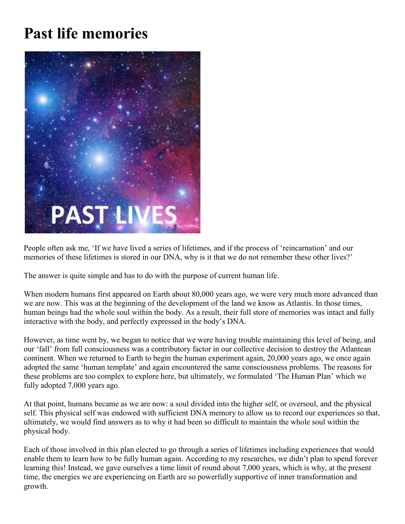## **Past life memories**



People often ask me, 'If we have lived a series of lifetimes, and if the process of 'reincarnation' and our memories of these lifetimes is stored in our DNA, why is it that we do not remember these other lives?'

The answer is quite simple and has to do with the purpose of current human life.

When modern humans first appeared on Earth about 80,000 years ago, we were very much more advanced than we are now. This was at the beginning of the development of the land we know as Atlantis. In those times, human beings had the whole soul within the body. As a result, their full store of memories was intact and fully interactive with the body, and perfectly expressed in the body's DNA.

However, as time went by, we began to notice that we were having trouble maintaining this level of being, and our 'fall' from full consciousness was a contributory factor in our collective decision to destroy the Atlantean continent. When we returned to Earth to begin the human experiment again, 20,000 years ago, we once again adopted the same 'human template' and again encountered the same consciousness problems. The reasons for these problems are too complex to explore here, but ultimately, we formulated 'The Human Plan' which we fully adopted 7,000 years ago.

At that point, humans became as we are now: a soul divided into the higher self, or oversoul, and the physical self. This physical self was endowed with sufficient DNA memory to allow us to record our experiences so that, ultimately, we would find answers as to why it had been so difficult to maintain the whole soul within the physical body.

Each of those involved in this plan elected to go through a series of lifetimes including experiences that would enable them to learn how to be fully human again. According to my researches, we didn't plan to spend forever learning this! Instead, we gave ourselves a time limit of round about 7,000 years, which is why, at the present time, the energies we are experiencing on Earth are so powerfully supportive of inner transformation and growth.